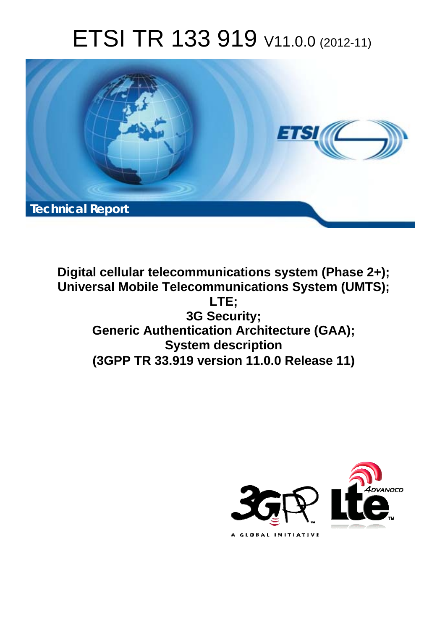# ETSI TR 133 919 V11.0.0 (2012-11)



**Digital cellular telecommunications system (Phase 2+); Universal Mobile Telecommunications System (UMTS); LTE; 3G Security; Generic Authentication Architecture (GAA); System description (3GPP TR 33.919 version 11.0.0 Release 11)** 

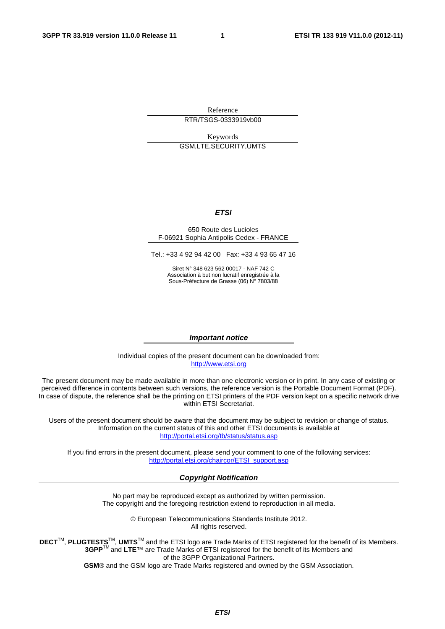Reference RTR/TSGS-0333919vb00

Keywords GSM,LTE,SECURITY,UMTS

#### *ETSI*

#### 650 Route des Lucioles F-06921 Sophia Antipolis Cedex - FRANCE

Tel.: +33 4 92 94 42 00 Fax: +33 4 93 65 47 16

Siret N° 348 623 562 00017 - NAF 742 C Association à but non lucratif enregistrée à la Sous-Préfecture de Grasse (06) N° 7803/88

#### *Important notice*

Individual copies of the present document can be downloaded from: [http://www.etsi.org](http://www.etsi.org/)

The present document may be made available in more than one electronic version or in print. In any case of existing or perceived difference in contents between such versions, the reference version is the Portable Document Format (PDF). In case of dispute, the reference shall be the printing on ETSI printers of the PDF version kept on a specific network drive within ETSI Secretariat.

Users of the present document should be aware that the document may be subject to revision or change of status. Information on the current status of this and other ETSI documents is available at <http://portal.etsi.org/tb/status/status.asp>

If you find errors in the present document, please send your comment to one of the following services: [http://portal.etsi.org/chaircor/ETSI\\_support.asp](http://portal.etsi.org/chaircor/ETSI_support.asp)

#### *Copyright Notification*

No part may be reproduced except as authorized by written permission. The copyright and the foregoing restriction extend to reproduction in all media.

> © European Telecommunications Standards Institute 2012. All rights reserved.

DECT<sup>™</sup>, PLUGTESTS<sup>™</sup>, UMTS<sup>™</sup> and the ETSI logo are Trade Marks of ETSI registered for the benefit of its Members. **3GPP**TM and **LTE**™ are Trade Marks of ETSI registered for the benefit of its Members and of the 3GPP Organizational Partners.

**GSM**® and the GSM logo are Trade Marks registered and owned by the GSM Association.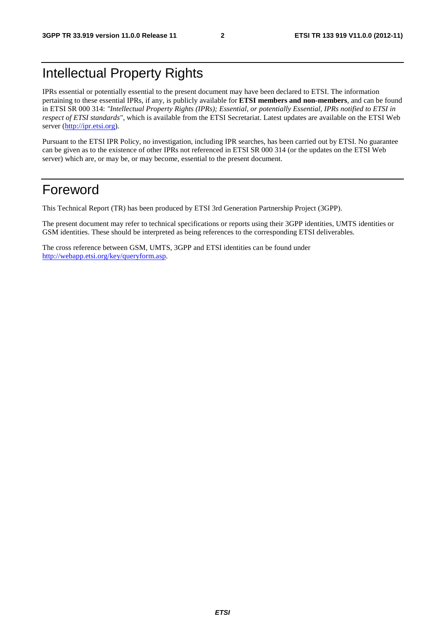## Intellectual Property Rights

IPRs essential or potentially essential to the present document may have been declared to ETSI. The information pertaining to these essential IPRs, if any, is publicly available for **ETSI members and non-members**, and can be found in ETSI SR 000 314: *"Intellectual Property Rights (IPRs); Essential, or potentially Essential, IPRs notified to ETSI in respect of ETSI standards"*, which is available from the ETSI Secretariat. Latest updates are available on the ETSI Web server [\(http://ipr.etsi.org](http://webapp.etsi.org/IPR/home.asp)).

Pursuant to the ETSI IPR Policy, no investigation, including IPR searches, has been carried out by ETSI. No guarantee can be given as to the existence of other IPRs not referenced in ETSI SR 000 314 (or the updates on the ETSI Web server) which are, or may be, or may become, essential to the present document.

### Foreword

This Technical Report (TR) has been produced by ETSI 3rd Generation Partnership Project (3GPP).

The present document may refer to technical specifications or reports using their 3GPP identities, UMTS identities or GSM identities. These should be interpreted as being references to the corresponding ETSI deliverables.

The cross reference between GSM, UMTS, 3GPP and ETSI identities can be found under <http://webapp.etsi.org/key/queryform.asp>.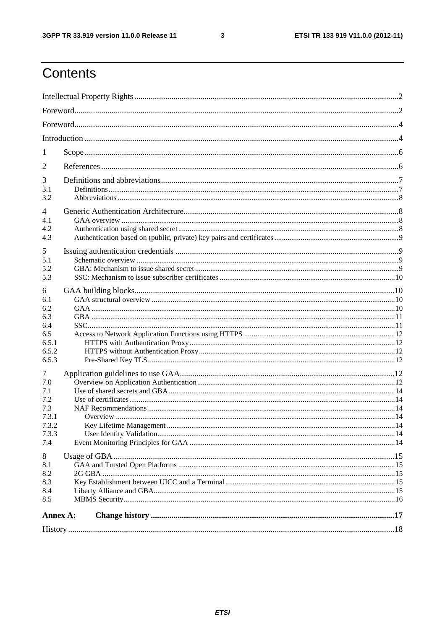$\mathbf{3}$ 

## Contents

| 1                                                               |  |  |  |  |
|-----------------------------------------------------------------|--|--|--|--|
| 2                                                               |  |  |  |  |
| 3<br>3.1<br>3.2                                                 |  |  |  |  |
| $\overline{4}$<br>4.1<br>4.2<br>4.3                             |  |  |  |  |
| 5<br>5.1<br>5.2<br>5.3                                          |  |  |  |  |
| 6<br>6.1<br>6.2<br>6.3<br>6.4<br>6.5<br>6.5.1<br>6.5.2<br>6.5.3 |  |  |  |  |
| 7<br>7.0<br>7.1<br>7.2<br>7.3<br>7.3.1<br>7.3.2<br>7.3.3<br>7.4 |  |  |  |  |
| 8<br>8.1<br>8.2<br>8.3<br>8.4<br>8.5                            |  |  |  |  |
| Annex A:                                                        |  |  |  |  |
|                                                                 |  |  |  |  |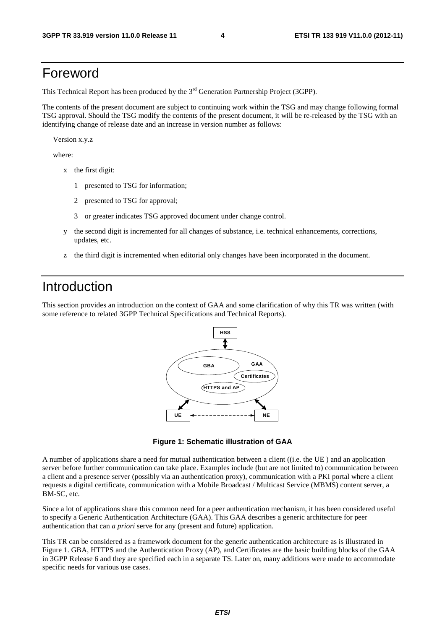### Foreword

This Technical Report has been produced by the  $3<sup>rd</sup>$  Generation Partnership Project (3GPP).

The contents of the present document are subject to continuing work within the TSG and may change following formal TSG approval. Should the TSG modify the contents of the present document, it will be re-released by the TSG with an identifying change of release date and an increase in version number as follows:

Version x.y.z

where:

- x the first digit:
	- 1 presented to TSG for information;
	- 2 presented to TSG for approval;
	- 3 or greater indicates TSG approved document under change control.
- y the second digit is incremented for all changes of substance, i.e. technical enhancements, corrections, updates, etc.
- z the third digit is incremented when editorial only changes have been incorporated in the document.

#### Introduction

This section provides an introduction on the context of GAA and some clarification of why this TR was written (with some reference to related 3GPP Technical Specifications and Technical Reports).



**Figure 1: Schematic illustration of GAA** 

A number of applications share a need for mutual authentication between a client ((i.e. the UE ) and an application server before further communication can take place. Examples include (but are not limited to) communication between a client and a presence server (possibly via an authentication proxy), communication with a PKI portal where a client requests a digital certificate, communication with a Mobile Broadcast / Multicast Service (MBMS) content server, a BM-SC, etc.

Since a lot of applications share this common need for a peer authentication mechanism, it has been considered useful to specify a Generic Authentication Architecture (GAA). This GAA describes a generic architecture for peer authentication that can *a priori* serve for any (present and future) application.

This TR can be considered as a framework document for the generic authentication architecture as is illustrated in Figure 1. GBA, HTTPS and the Authentication Proxy (AP), and Certificates are the basic building blocks of the GAA in 3GPP Release 6 and they are specified each in a separate TS. Later on, many additions were made to accommodate specific needs for various use cases.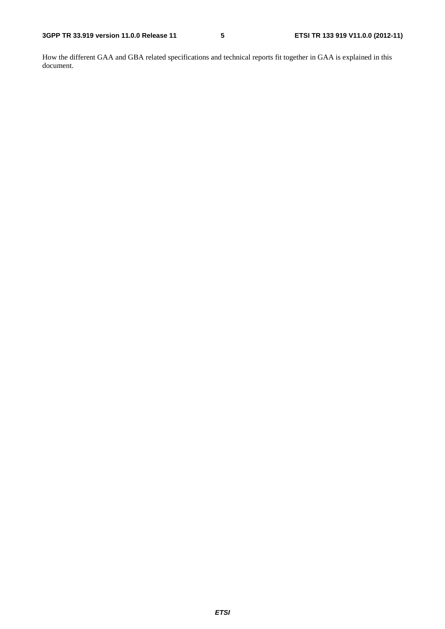How the different GAA and GBA related specifications and technical reports fit together in GAA is explained in this document.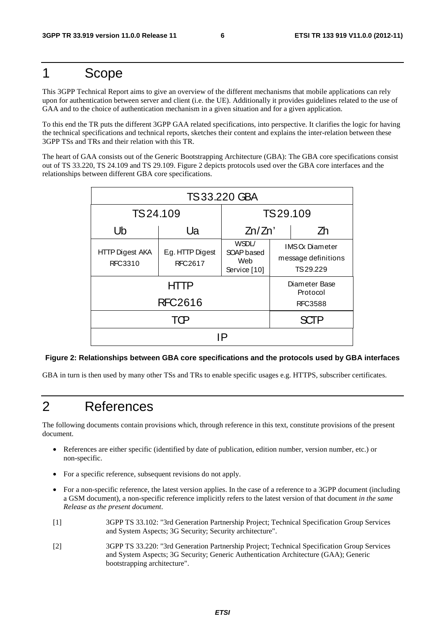### 1 Scope

This 3GPP Technical Report aims to give an overview of the different mechanisms that mobile applications can rely upon for authentication between server and client (i.e. the UE). Additionally it provides guidelines related to the use of GAA and to the choice of authentication mechanism in a given situation and for a given application.

To this end the TR puts the different 3GPP GAA related specifications, into perspective. It clarifies the logic for having the technical specifications and technical reports, sketches their content and explains the inter-relation between these 3GPP TSs and TRs and their relation with this TR.

The heart of GAA consists out of the Generic Bootstrapping Architecture (GBA): The GBA core specifications consist out of TS 33.220, TS 24.109 and TS 29.109. Figure 2 depicts protocols used over the GBA core interfaces and the relationships between different GBA core specifications.

| <b>TS33.220 GBA</b>               |                                                                                  |                           |  |                                                          |
|-----------------------------------|----------------------------------------------------------------------------------|---------------------------|--|----------------------------------------------------------|
| TS24.109                          |                                                                                  | TS29.109                  |  |                                                          |
| Ub                                | Ua                                                                               | Zn/Zn'                    |  | Zh                                                       |
| <b>HTTP Digest AKA</b><br>RFC3310 | WSDL/<br>E.g. HTTP Digest<br>SOAP based<br>Web<br><b>RFC2617</b><br>Service [10] |                           |  | <b>IMSC</b> Diameter<br>message definitions<br>TS 29.229 |
|                                   |                                                                                  | Diameter Base<br>Protocol |  |                                                          |
| <b>RFC2616</b>                    |                                                                                  | <b>RFC3588</b>            |  |                                                          |
|                                   |                                                                                  | <b>SCTP</b>               |  |                                                          |
| ΙP                                |                                                                                  |                           |  |                                                          |

#### **Figure 2: Relationships between GBA core specifications and the protocols used by GBA interfaces**

GBA in turn is then used by many other TSs and TRs to enable specific usages e.g. HTTPS, subscriber certificates.

### 2 References

The following documents contain provisions which, through reference in this text, constitute provisions of the present document.

- References are either specific (identified by date of publication, edition number, version number, etc.) or non-specific.
- For a specific reference, subsequent revisions do not apply.
- For a non-specific reference, the latest version applies. In the case of a reference to a 3GPP document (including a GSM document), a non-specific reference implicitly refers to the latest version of that document *in the same Release as the present document*.
- [1] 3GPP TS 33.102: "3rd Generation Partnership Project; Technical Specification Group Services and System Aspects; 3G Security; Security architecture".
- [2] 3GPP TS 33.220: "3rd Generation Partnership Project; Technical Specification Group Services and System Aspects; 3G Security; Generic Authentication Architecture (GAA); Generic bootstrapping architecture".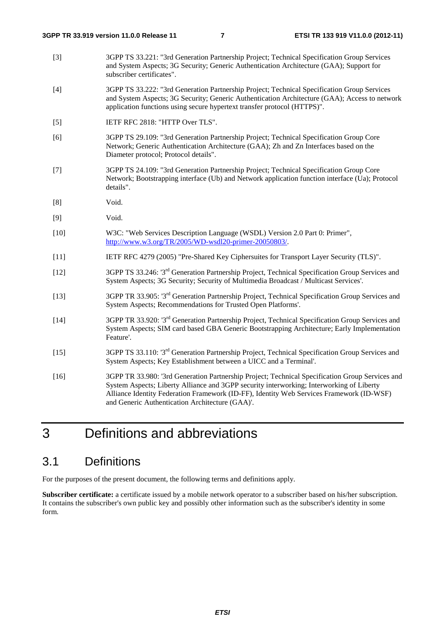- [3] 3GPP TS 33.221: "3rd Generation Partnership Project; Technical Specification Group Services and System Aspects; 3G Security; Generic Authentication Architecture (GAA); Support for subscriber certificates".
- [4] 3GPP TS 33.222: "3rd Generation Partnership Project; Technical Specification Group Services and System Aspects; 3G Security; Generic Authentication Architecture (GAA); Access to network application functions using secure hypertext transfer protocol (HTTPS)".
- [5] IETF RFC 2818: "HTTP Over TLS".
- [6] 3GPP TS 29.109: "3rd Generation Partnership Project; Technical Specification Group Core Network; Generic Authentication Architecture (GAA); Zh and Zn Interfaces based on the Diameter protocol; Protocol details".
- [7] 3GPP TS 24.109: "3rd Generation Partnership Project; Technical Specification Group Core Network; Bootstrapping interface (Ub) and Network application function interface (Ua); Protocol details".
- [8] Void.
- [9] Void.
- [10] W3C: "Web Services Description Language (WSDL) Version 2.0 Part 0: Primer", <http://www.w3.org/TR/2005/WD-wsdl20-primer-20050803/>.
- [11] IETF RFC 4279 (2005) "Pre-Shared Key Ciphersuites for Transport Layer Security (TLS)".
- [12] 3GPP TS 33.246: '3rd Generation Partnership Project, Technical Specification Group Services and System Aspects; 3G Security; Security of Multimedia Broadcast / Multicast Services'.
- [13] 3GPP TR 33.905: '3rd Generation Partnership Project, Technical Specification Group Services and System Aspects; Recommendations for Trusted Open Platforms'.
- [14] 3GPP TR 33.920: '3rd Generation Partnership Project, Technical Specification Group Services and System Aspects; SIM card based GBA Generic Bootstrapping Architecture; Early Implementation Feature'.
- [15] 3GPP TS 33.110: '3rd Generation Partnership Project, Technical Specification Group Services and System Aspects; Key Establishment between a UICC and a Terminal'.
- [16] 3GPP TR 33.980: '3rd Generation Partnership Project; Technical Specification Group Services and System Aspects; Liberty Alliance and 3GPP security interworking; Interworking of Liberty Alliance Identity Federation Framework (ID-FF), Identity Web Services Framework (ID-WSF) and Generic Authentication Architecture (GAA)'.

## 3 Definitions and abbreviations

#### 3.1 Definitions

For the purposes of the present document, the following terms and definitions apply.

**Subscriber certificate:** a certificate issued by a mobile network operator to a subscriber based on his/her subscription. It contains the subscriber's own public key and possibly other information such as the subscriber's identity in some form.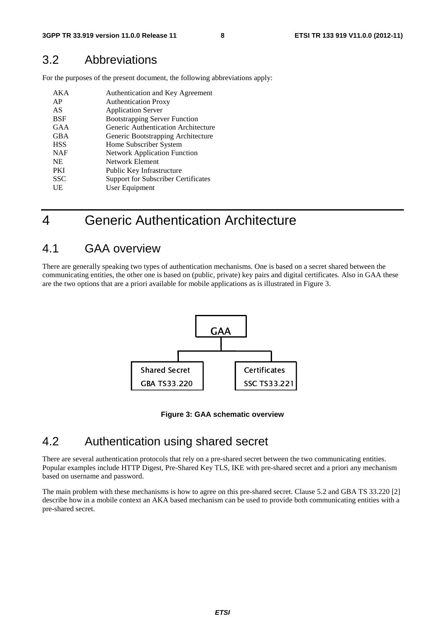#### 3.2 Abbreviations

For the purposes of the present document, the following abbreviations apply:

| AK A       | Authentication and Key Agreement           |
|------------|--------------------------------------------|
| AP         | <b>Authentication Proxy</b>                |
| AS         | <b>Application Server</b>                  |
| BSF        | <b>Bootstrapping Server Function</b>       |
| GAA        | Generic Authentication Architecture        |
| <b>GBA</b> | Generic Bootstrapping Architecture         |
| <b>HSS</b> | Home Subscriber System                     |
| <b>NAF</b> | <b>Network Application Function</b>        |
| <b>NE</b>  | Network Element                            |
| <b>PKI</b> | Public Key Infrastructure                  |
| <b>SSC</b> | <b>Support for Subscriber Certificates</b> |
| UE         | User Equipment                             |

### 4 Generic Authentication Architecture

#### 4.1 GAA overview

There are generally speaking two types of authentication mechanisms. One is based on a secret shared between the communicating entities, the other one is based on (public, private) key pairs and digital certificates. Also in GAA these are the two options that are a priori available for mobile applications as is illustrated in Figure 3.



**Figure 3: GAA schematic overview** 

#### 4.2 Authentication using shared secret

Figure 3:<br>
fion using<br>
protocols that rely<br>
Digest, Pre-Share<br>
L. ic overview<br>
SCTE<br>
Secret between the<br>
secret between the<br>
with pre-shared There are several authentication protocols that rely on a pre-shared secret between the two communicating entities. Popular examples include HTTP Digest, Pre-Shared Key TLS, IKE with pre-shared secret and a priori any mechanism based on username and password.

The main problem with these mechanisms is how to agree on this pre-shared secret. Clause 5.2 and GBA TS 33.220 [2] describe how in a mobile context an AKA based mechanism can be used to provide both communicating entities with a pre-shared secret.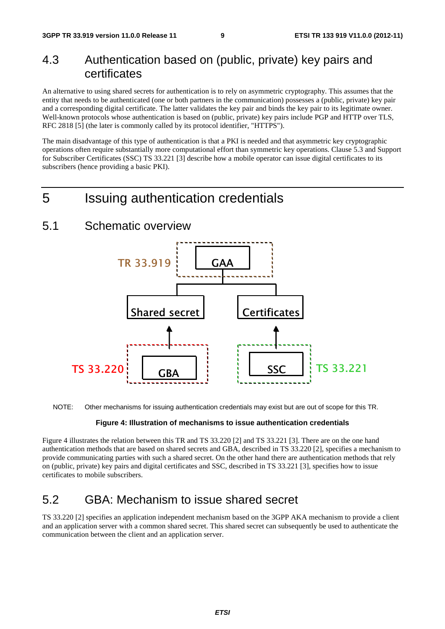#### 4.3 Authentication based on (public, private) key pairs and certificates

An alternative to using shared secrets for authentication is to rely on asymmetric cryptography. This assumes that the entity that needs to be authenticated (one or both partners in the communication) possesses a (public, private) key pair and a corresponding digital certificate. The latter validates the key pair and binds the key pair to its legitimate owner. Well-known protocols whose authentication is based on (public, private) key pairs include PGP and HTTP over TLS, RFC 2818 [5] (the later is commonly called by its protocol identifier, "HTTPS").

The main disadvantage of this type of authentication is that a PKI is needed and that asymmetric key cryptographic operations often require substantially more computational effort than symmetric key operations. Clause 5.3 and Support for Subscriber Certificates (SSC) TS 33.221 [3] describe how a mobile operator can issue digital certificates to its subscribers (hence providing a basic PKI).

### 5 Issuing authentication credentials

#### 5.1 Schematic overview



NOTE: Other mechanisms for issuing authentication credentials may exist but are out of scope for this TR.

#### **Figure 4: Illustration of mechanisms to issue authentication credentials**

Figure 4 illustrates the relation between this TR and TS 33.220 [2] and TS 33.221 [3]. There are on the one hand authentication methods that are based on shared secrets and GBA, described in TS 33.220 [2], specifies a mechanism to provide communicating parties with such a shared secret. On the other hand there are authentication methods that rely on (public, private) key pairs and digital certificates and SSC, described in TS 33.221 [3], specifies how to issue certificates to mobile subscribers.

#### 5.2 GBA: Mechanism to issue shared secret

TS 33.220 [2] specifies an application independent mechanism based on the 3GPP AKA mechanism to provide a client and an application server with a common shared secret. This shared secret can subsequently be used to authenticate the communication between the client and an application server.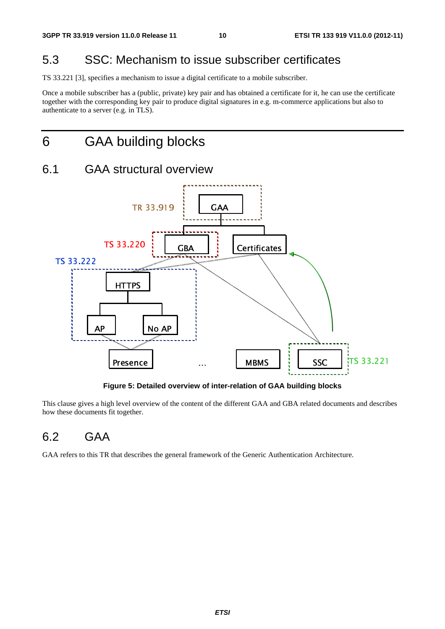#### 5.3 SSC: Mechanism to issue subscriber certificates

TS 33.221 [3], specifies a mechanism to issue a digital certificate to a mobile subscriber.

Once a mobile subscriber has a (public, private) key pair and has obtained a certificate for it, he can use the certificate together with the corresponding key pair to produce digital signatures in e.g. m-commerce applications but also to authenticate to a server (e.g. in TLS).

## 6 GAA building blocks

### 6.1 GAA structural overview



**Figure 5: Detailed overview of inter-relation of GAA building blocks** 

ion of GAA building blows<br>to GAA and GBA related do<br>difference Authentication Architects **gure 5: Det**<br> **Presence 1**<br> **Presence 1**<br> **Presence 1**<br> **Presence 1**<br> **Presence 1**<br> **Presence 1**<br> **Presence 1**<br> **Presence 1**  $T_s$  and describes the same of  $\overline{S}$ . u o<br>nt d This clause gives a high level overview of the content of the different GAA and GBA related documents and describes how these documents fit together.

#### 6.2 GAA

GAA refers to this TR that describes the general framework of the Generic Authentication Architecture.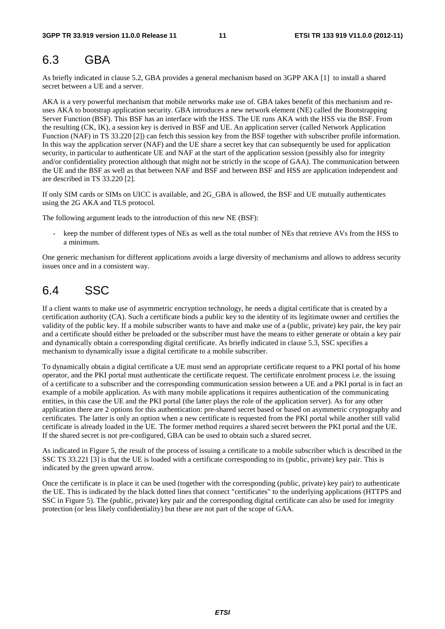#### 6.3 GBA

As briefly indicated in clause 5.2, GBA provides a general mechanism based on 3GPP AKA [1] to install a shared secret between a UE and a server.

AKA is a very powerful mechanism that mobile networks make use of. GBA takes benefit of this mechanism and reuses AKA to bootstrap application security. GBA introduces a new network element (NE) called the Bootstrapping Server Function (BSF). This BSF has an interface with the HSS. The UE runs AKA with the HSS via the BSF. From the resulting (CK, IK), a session key is derived in BSF and UE. An application server (called Network Application Function (NAF) in TS 33.220 [2]) can fetch this session key from the BSF together with subscriber profile information. In this way the application server (NAF) and the UE share a secret key that can subsequently be used for application security, in particular to authenticate UE and NAF at the start of the application session (possibly also for integrity and/or confidentiality protection although that might not be strictly in the scope of GAA). The communication between the UE and the BSF as well as that between NAF and BSF and between BSF and HSS are application independent and are described in TS 33.220 [2].

If only SIM cards or SIMs on UICC is available, and 2G\_GBA is allowed, the BSF and UE mutually authenticates using the 2G AKA and TLS protocol.

The following argument leads to the introduction of this new NE (BSF):

keep the number of different types of NEs as well as the total number of NEs that retrieve AVs from the HSS to a minimum.

One generic mechanism for different applications avoids a large diversity of mechanisms and allows to address security issues once and in a consistent way.

#### 6.4 SSC

If a client wants to make use of asymmetric encryption technology, he needs a digital certificate that is created by a certification authority (CA). Such a certificate binds a public key to the identity of its legitimate owner and certifies the validity of the public key. If a mobile subscriber wants to have and make use of a (public, private) key pair, the key pair and a certificate should either be preloaded or the subscriber must have the means to either generate or obtain a key pair and dynamically obtain a corresponding digital certificate. As briefly indicated in clause 5.3, SSC specifies a mechanism to dynamically issue a digital certificate to a mobile subscriber.

To dynamically obtain a digital certificate a UE must send an appropriate certificate request to a PKI portal of his home operator, and the PKI portal must authenticate the certificate request. The certificate enrolment process i.e. the issuing of a certificate to a subscriber and the corresponding communication session between a UE and a PKI portal is in fact an example of a mobile application. As with many mobile applications it requires authentication of the communicating entities, in this case the UE and the PKI portal (the latter plays the role of the application server). As for any other application there are 2 options for this authentication: pre-shared secret based or based on asymmetric cryptography and certificates. The latter is only an option when a new certificate is requested from the PKI portal while another still valid certificate is already loaded in the UE. The former method requires a shared secret between the PKI portal and the UE. If the shared secret is not pre-configured, GBA can be used to obtain such a shared secret.

As indicated in Figure 5, the result of the process of issuing a certificate to a mobile subscriber which is described in the SSC TS 33.221 [3] is that the UE is loaded with a certificate corresponding to its (public, private) key pair. This is indicated by the green upward arrow.

Once the certificate is in place it can be used (together with the corresponding (public, private) key pair) to authenticate the UE. This is indicated by the black dotted lines that connect "certificates" to the underlying applications (HTTPS and SSC in Figure 5). The (public, private) key pair and the corresponding digital certificate can also be used for integrity protection (or less likely confidentiality) but these are not part of the scope of GAA.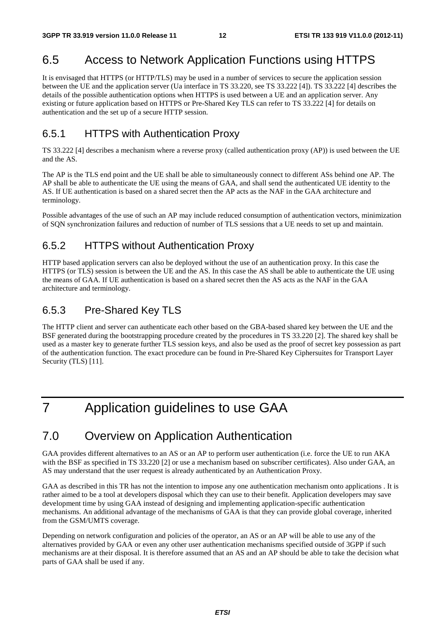### 6.5 Access to Network Application Functions using HTTPS

It is envisaged that HTTPS (or HTTP/TLS) may be used in a number of services to secure the application session between the UE and the application server (Ua interface in TS 33.220, see TS 33.222 [4]). TS 33.222 [4] describes the details of the possible authentication options when HTTPS is used between a UE and an application server. Any existing or future application based on HTTPS or Pre-Shared Key TLS can refer to TS 33.222 [4] for details on authentication and the set up of a secure HTTP session.

#### 6.5.1 HTTPS with Authentication Proxy

TS 33.222 [4] describes a mechanism where a reverse proxy (called authentication proxy (AP)) is used between the UE and the AS.

The AP is the TLS end point and the UE shall be able to simultaneously connect to different ASs behind one AP. The AP shall be able to authenticate the UE using the means of GAA, and shall send the authenticated UE identity to the AS. If UE authentication is based on a shared secret then the AP acts as the NAF in the GAA architecture and terminology.

Possible advantages of the use of such an AP may include reduced consumption of authentication vectors, minimization of SQN synchronization failures and reduction of number of TLS sessions that a UE needs to set up and maintain.

#### 6.5.2 HTTPS without Authentication Proxy

HTTP based application servers can also be deployed without the use of an authentication proxy. In this case the HTTPS (or TLS) session is between the UE and the AS. In this case the AS shall be able to authenticate the UE using the means of GAA. If UE authentication is based on a shared secret then the AS acts as the NAF in the GAA architecture and terminology.

#### 6.5.3 Pre-Shared Key TLS

The HTTP client and server can authenticate each other based on the GBA-based shared key between the UE and the BSF generated during the bootstrapping procedure created by the procedures in TS 33.220 [2]. The shared key shall be used as a master key to generate further TLS session keys, and also be used as the proof of secret key possession as part of the authentication function. The exact procedure can be found in Pre-Shared Key Ciphersuites for Transport Layer Security (TLS) [11].

## 7 Application guidelines to use GAA

#### 7.0 Overview on Application Authentication

GAA provides different alternatives to an AS or an AP to perform user authentication (i.e. force the UE to run AKA with the BSF as specified in TS 33.220 [2] or use a mechanism based on subscriber certificates). Also under GAA, an AS may understand that the user request is already authenticated by an Authentication Proxy.

GAA as described in this TR has not the intention to impose any one authentication mechanism onto applications . It is rather aimed to be a tool at developers disposal which they can use to their benefit. Application developers may save development time by using GAA instead of designing and implementing application-specific authentication mechanisms. An additional advantage of the mechanisms of GAA is that they can provide global coverage, inherited from the GSM/UMTS coverage.

Depending on network configuration and policies of the operator, an AS or an AP will be able to use any of the alternatives provided by GAA or even any other user authentication mechanisms specified outside of 3GPP if such mechanisms are at their disposal. It is therefore assumed that an AS and an AP should be able to take the decision what parts of GAA shall be used if any.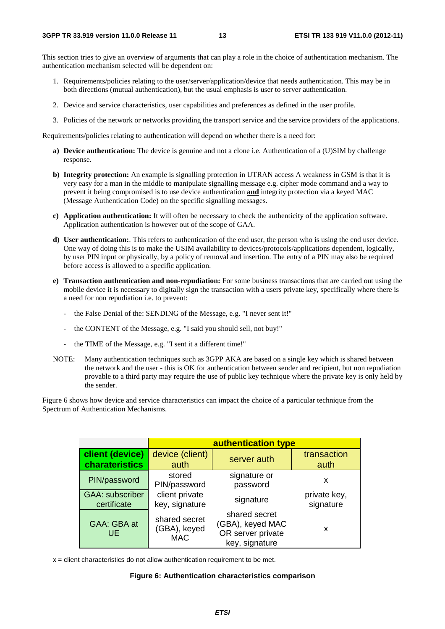This section tries to give an overview of arguments that can play a role in the choice of authentication mechanism. The authentication mechanism selected will be dependent on:

- 1. Requirements/policies relating to the user/server/application/device that needs authentication. This may be in both directions (mutual authentication), but the usual emphasis is user to server authentication.
- 2. Device and service characteristics, user capabilities and preferences as defined in the user profile.
- 3. Policies of the network or networks providing the transport service and the service providers of the applications.

Requirements/policies relating to authentication will depend on whether there is a need for:

- **a) Device authentication:** The device is genuine and not a clone i.e. Authentication of a (U)SIM by challenge response.
- **b) Integrity protection:** An example is signalling protection in UTRAN access A weakness in GSM is that it is very easy for a man in the middle to manipulate signalling message e.g. cipher mode command and a way to prevent it being compromised is to use device authentication **and** integrity protection via a keyed MAC (Message Authentication Code) on the specific signalling messages.
- **c) Application authentication:** It will often be necessary to check the authenticity of the application software. Application authentication is however out of the scope of GAA.
- **d) User authentication:**. This refers to authentication of the end user, the person who is using the end user device. One way of doing this is to make the USIM availability to devices/protocols/applications dependent, logically, by user PIN input or physically, by a policy of removal and insertion. The entry of a PIN may also be required before access is allowed to a specific application.
- **e) Transaction authentication and non-repudiation:** For some business transactions that are carried out using the mobile device it is necessary to digitally sign the transaction with a users private key, specifically where there is a need for non repudiation i.e. to prevent:
	- the False Denial of the: SENDING of the Message, e.g. "I never sent it!"
	- the CONTENT of the Message, e.g. "I said you should sell, not buy!"
	- the TIME of the Message, e.g. "I sent it a different time!"
- NOTE: Many authentication techniques such as 3GPP AKA are based on a single key which is shared between the network and the user - this is OK for authentication between sender and recipient, but non repudiation provable to a third party may require the use of public key technique where the private key is only held by the sender.

Figure 6 shows how device and service characteristics can impact the choice of a particular technique from the Spectrum of Authentication Mechanisms.

|                                       | authentication type                         |                                                                          |                           |  |
|---------------------------------------|---------------------------------------------|--------------------------------------------------------------------------|---------------------------|--|
| client (device)<br>charateristics     | device (client)<br>auth                     | server auth                                                              | transaction<br>auth       |  |
| PIN/password                          | stored<br>PIN/password                      | signature or<br>password                                                 | x                         |  |
| <b>GAA: subscriber</b><br>certificate | client private<br>key, signature            | signature                                                                | private key,<br>signature |  |
| GAA: GBA at<br>UE.                    | shared secret<br>(GBA), keyed<br><b>MAC</b> | shared secret<br>(GBA), keyed MAC<br>OR server private<br>key, signature | x                         |  |

 $x =$  client characteristics do not allow authentication requirement to be met.

#### **Figure 6: Authentication characteristics comparison**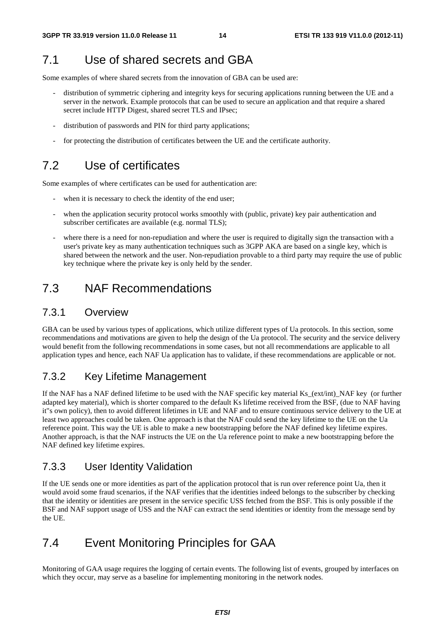#### 7.1 Use of shared secrets and GBA

Some examples of where shared secrets from the innovation of GBA can be used are:

- distribution of symmetric ciphering and integrity keys for securing applications running between the UE and a server in the network. Example protocols that can be used to secure an application and that require a shared secret include HTTP Digest, shared secret TLS and IPsec;
- distribution of passwords and PIN for third party applications;
- for protecting the distribution of certificates between the UE and the certificate authority.

#### 7.2 Use of certificates

Some examples of where certificates can be used for authentication are:

- when it is necessary to check the identity of the end user;
- when the application security protocol works smoothly with (public, private) key pair authentication and subscriber certificates are available (e.g. normal TLS);
- where there is a need for non-repudiation and where the user is required to digitally sign the transaction with a user's private key as many authentication techniques such as 3GPP AKA are based on a single key, which is shared between the network and the user. Non-repudiation provable to a third party may require the use of public key technique where the private key is only held by the sender.

#### 7.3 NAF Recommendations

#### 7.3.1 Overview

GBA can be used by various types of applications, which utilize different types of Ua protocols. In this section, some recommendations and motivations are given to help the design of the Ua protocol. The security and the service delivery would benefit from the following recommendations in some cases, but not all recommendations are applicable to all application types and hence, each NAF Ua application has to validate, if these recommendations are applicable or not.

#### 7.3.2 Key Lifetime Management

If the NAF has a NAF defined lifetime to be used with the NAF specific key material Ks\_(ext/int)\_NAF key (or further adapted key material), which is shorter compared to the default Ks lifetime received from the BSF, (due to NAF having it"s own policy), then to avoid different lifetimes in UE and NAF and to ensure continuous service delivery to the UE at least two approaches could be taken. One approach is that the NAF could send the key lifetime to the UE on the Ua reference point. This way the UE is able to make a new bootstrapping before the NAF defined key lifetime expires. Another approach, is that the NAF instructs the UE on the Ua reference point to make a new bootstrapping before the NAF defined key lifetime expires.

#### 7.3.3 User Identity Validation

If the UE sends one or more identities as part of the application protocol that is run over reference point Ua, then it would avoid some fraud scenarios, if the NAF verifies that the identities indeed belongs to the subscriber by checking that the identity or identities are present in the service specific USS fetched from the BSF. This is only possible if the BSF and NAF support usage of USS and the NAF can extract the send identities or identity from the message send by the UE.

#### 7.4 Event Monitoring Principles for GAA

Monitoring of GAA usage requires the logging of certain events. The following list of events, grouped by interfaces on which they occur, may serve as a baseline for implementing monitoring in the network nodes.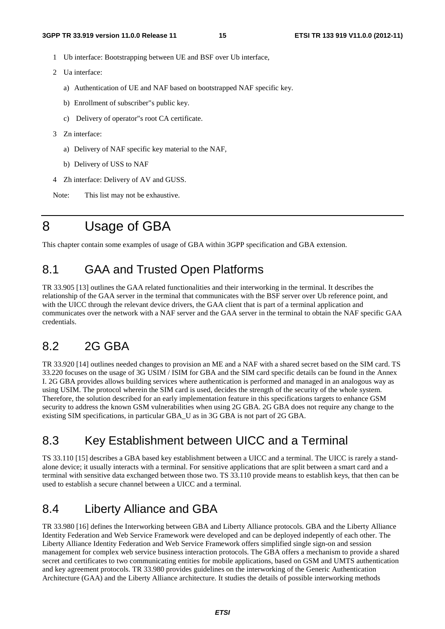- 1 Ub interface: Bootstrapping between UE and BSF over Ub interface,
- 2 Ua interface:
	- a) Authentication of UE and NAF based on bootstrapped NAF specific key.
	- b) Enrollment of subscriber"s public key.
	- c) Delivery of operator"s root CA certificate.
- 3 Zn interface:
	- a) Delivery of NAF specific key material to the NAF,
	- b) Delivery of USS to NAF
- 4 Zh interface: Delivery of AV and GUSS.

Note: This list may not be exhaustive.

## 8 Usage of GBA

This chapter contain some examples of usage of GBA within 3GPP specification and GBA extension.

#### 8.1 GAA and Trusted Open Platforms

TR 33.905 [13] outlines the GAA related functionalities and their interworking in the terminal. It describes the relationship of the GAA server in the terminal that communicates with the BSF server over Ub reference point, and with the UICC through the relevant device drivers, the GAA client that is part of a terminal application and communicates over the network with a NAF server and the GAA server in the terminal to obtain the NAF specific GAA credentials.

#### 8.2 2G GBA

TR 33.920 [14] outlines needed changes to provision an ME and a NAF with a shared secret based on the SIM card. TS 33.220 focuses on the usage of 3G USIM / ISIM for GBA and the SIM card specific details can be found in the Annex I. 2G GBA provides allows building services where authentication is performed and managed in an analogous way as using USIM. The protocol wherein the SIM card is used, decides the strength of the security of the whole system. Therefore, the solution described for an early implementation feature in this specifications targets to enhance GSM security to address the known GSM vulnerabilities when using 2G GBA. 2G GBA does not require any change to the existing SIM specifications, in particular GBA\_U as in 3G GBA is not part of 2G GBA.

#### 8.3 Key Establishment between UICC and a Terminal

TS 33.110 [15] describes a GBA based key establishment between a UICC and a terminal. The UICC is rarely a standalone device; it usually interacts with a terminal. For sensitive applications that are split between a smart card and a terminal with sensitive data exchanged between those two. TS 33.110 provide means to establish keys, that then can be used to establish a secure channel between a UICC and a terminal.

### 8.4 Liberty Alliance and GBA

TR 33.980 [16] defines the Interworking between GBA and Liberty Alliance protocols. GBA and the Liberty Alliance Identity Federation and Web Service Framework were developed and can be deployed indepently of each other. The Liberty Alliance Identity Federation and Web Service Framework offers simplified single sign-on and session management for complex web service business interaction protocols. The GBA offers a mechanism to provide a shared secret and certificates to two communicating entities for mobile applications, based on GSM and UMTS authentication and key agreement protocols. TR 33.980 provides guidelines on the interworking of the Generic Authentication Architecture (GAA) and the Liberty Alliance architecture. It studies the details of possible interworking methods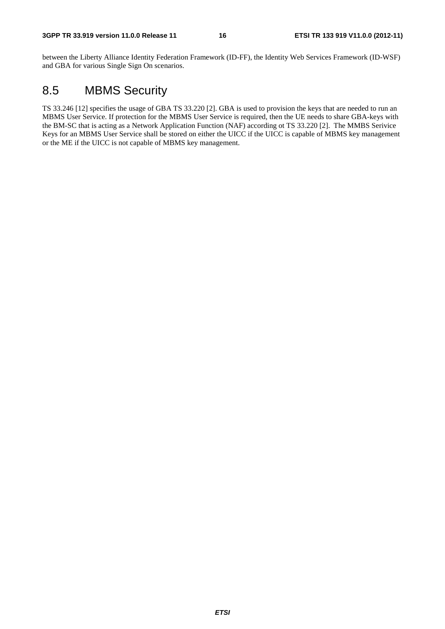between the Liberty Alliance Identity Federation Framework (ID-FF), the Identity Web Services Framework (ID-WSF) and GBA for various Single Sign On scenarios.

### 8.5 MBMS Security

TS 33.246 [12] specifies the usage of GBA TS 33.220 [2]. GBA is used to provision the keys that are needed to run an MBMS User Service. If protection for the MBMS User Service is required, then the UE needs to share GBA-keys with the BM-SC that is acting as a Network Application Function (NAF) according ot TS 33.220 [2]. The MMBS Serivice Keys for an MBMS User Service shall be stored on either the UICC if the UICC is capable of MBMS key management or the ME if the UICC is not capable of MBMS key management.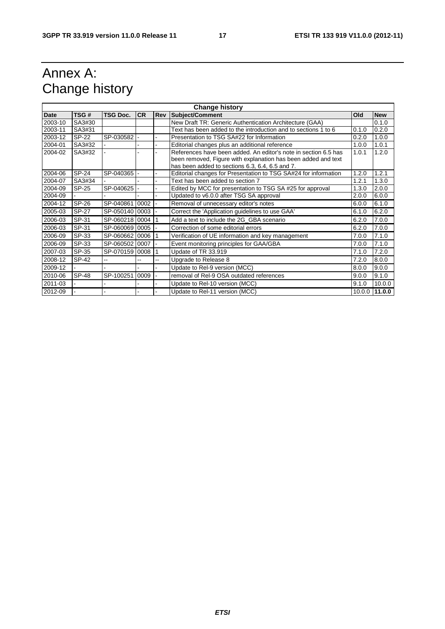## Annex A: Change history

| <b>Change history</b> |              |                 |           |     |                                                                 |       |                 |
|-----------------------|--------------|-----------------|-----------|-----|-----------------------------------------------------------------|-------|-----------------|
| <b>Date</b>           | TSG#         | <b>TSG Doc.</b> | <b>CR</b> | Rev | Subject/Comment                                                 | Old   | <b>New</b>      |
| 2003-10               | SA3#30       |                 |           |     | New Draft TR: Generic Authentication Architecture (GAA)         |       | 0.1.0           |
| 2003-11               | SA3#31       |                 |           |     | Text has been added to the introduction and to sections 1 to 6  | 0.1.0 | 0.2.0           |
| 2003-12               | SP-22        | SP-030582 -     |           |     | Presentation to TSG SA#22 for Information                       | 0.2.0 | 1.0.0           |
| 2004-01               | SA3#32       |                 |           |     | Editorial changes plus an additional reference                  | 1.0.0 | 1.0.1           |
| 2004-02               | SA3#32       |                 |           |     | References have been added. An editor's note in section 6.5 has | 1.0.1 | 1.2.0           |
|                       |              |                 |           |     | been removed, Figure with explanation has been added and text   |       |                 |
|                       |              |                 |           |     | has been added to sections 6.3, 6.4, 6.5 and 7.                 |       |                 |
| 2004-06               | SP-24        | SP-040365 -     |           |     | Editorial changes for Presentation to TSG SA#24 for information | 1.2.0 | 1.2.1           |
| 2004-07               | SA3#34       |                 |           |     | Text has been added to section 7                                | 1.2.1 | 1.3.0           |
| 2004-09               | SP-25        | SP-040625 -     |           |     | Edited by MCC for presentation to TSG SA #25 for approval       | 1.3.0 | 2.0.0           |
| 2004-09               |              |                 |           |     | Updated to v6.0.0 after TSG SA approval                         | 2.0.0 | 6.0.0           |
| 2004-12               | SP-26        | SP-040861 0002  |           |     | Removal of unnecessary editor's notes                           | 6.0.0 | 6.1.0           |
| 2005-03               | <b>SP-27</b> | SP-050140 0003  |           |     | Correct the 'Application guidelines to use GAA'                 | 6.1.0 | 6.2.0           |
| 2006-03               | SP-31        | SP-060218 0004  |           |     | Add a text to include the 2G_GBA scenario                       | 6.2.0 | 7.0.0           |
| 2006-03               | SP-31        | SP-060069 0005  |           |     | Correction of some editorial errors                             | 6.2.0 | 7.0.0           |
| 2006-09               | SP-33        | SP-060662 0006  |           |     | Verification of UE information and key management               | 7.0.0 | 7.1.0           |
| 2006-09               | SP-33        | SP-060502 0007  |           |     | Event monitoring principles for GAA/GBA                         | 7.0.0 | 7.1.0           |
| 2007-03               | SP-35        | SP-070159 0008  |           |     | Update of TR 33.919                                             | 7.1.0 | 7.2.0           |
| 2008-12               | SP-42        |                 | --        | --  | Upgrade to Release 8                                            | 7.2.0 | 8.0.0           |
| 2009-12               |              |                 |           |     | Update to Rel-9 version (MCC)                                   | 8.0.0 | 9.0.0           |
| 2010-06               | <b>SP-48</b> | SP-100251 0009  |           |     | removal of Rel-9 OSA outdated references                        | 9.0.0 | 9.1.0           |
| 2011-03               |              |                 |           |     | Update to Rel-10 version (MCC)                                  | 9.1.0 | 10.0.0          |
| 2012-09               |              |                 |           |     | Update to Rel-11 version (MCC)                                  |       | $10.0.0$ 11.0.0 |